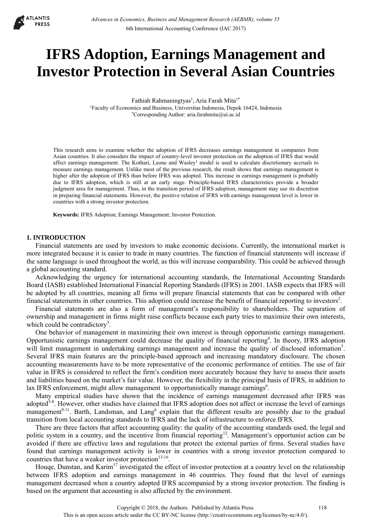

# **IFRS Adoption, Earnings Management and Investor Protection in Several Asian Countries**

Fathiah Rahmaningtyas<sup>1</sup>, Aria Farah Mita<sup>1\*</sup> 1Faculty of Economics and Business, Universitas Indonesia, Depok 16424, Indonesia \*Corresponding Author: aria.farahmita@ui.ac.id

This research aims to examine whether the adoption of IFRS decreases earnings management in companies from Asian countries. It also considers the impact of country-level investor protection on the adoption of IFRS that would affect earnings management. The Kothari, Leone and Wasley<sup>1</sup> model is used to calculate discretionary accruals to measure earnings management. Unlike most of the previous research, the result shows that earnings management is higher after the adoption of IFRS than before IFRS was adopted. This increase in earnings management is probably due to IFRS adoption, which is still at an early stage. Principle-based IFRS characteristics provide a broader judgment area for management. Thus, in the transition period of IFRS adoption, management may use its discretion in preparing financial statements. However, the positive relation of IFRS with earnings management level is lower in countries with a strong investor protection.

**Keywords:** IFRS Adoption; Earnings Management; Investor Protection.

### **1. INTRODUCTION**

Financial statements are used by investors to make economic decisions. Currently, the international market is more integrated because it is easier to trade in many countries. The function of financial statements will increase if the same language is used throughout the world, as this will increase comparability. This could be achieved through a global accounting standard.

Acknowledging the urgency for international accounting standards, the International Accounting Standards Board (IASB) established International Financial Reporting Standards (IFRS) in 2001. IASB expects that IFRS will be adopted by all countries, meaning all firms will prepare financial statements that can be compared with other financial statements in other countries. This adoption could increase the benefit of financial reporting to investors<sup>2</sup>.

Financial statements are also a form of management's responsibility to shareholders. The separation of ownership and management in firms might raise conflicts because each party tries to maximize their own interests, which could be contradictory<sup>3</sup>.

One behavior of management in maximizing their own interest is through opportunistic earnings management. Opportunistic earnings management could decrease the quality of financial reporting<sup>4</sup>. In theory, IFRS adoption will limit management in undertaking earnings management and increase the quality of disclosed information<sup>5</sup>. Several IFRS main features are the principle-based approach and increasing mandatory disclosure. The chosen accounting measurements have to be more representative of the economic performance of entities. The use of fair value in IFRS is considered to reflect the firm's condition more accurately because they have to assess their assets and liabilities based on the market's fair value. However, the flexibility in the principal basis of IFRS, in addition to lax IFRS enforcement, might allow management to opportunistically manage earnings<sup>6</sup>.

Many empirical studies have shown that the incidence of earnings management decreased after IFRS was adopted<sup>5-8</sup>. However, other studies have claimed that IFRS adoption does not affect or increase the level of earnings management<sup>9-11</sup>. Barth, Landsman, and Lang<sup>6</sup> explain that the different results are possibly due to the gradual transition from local accounting standards to IFRS and the lack of infrastructure to enforce IFRS.

There are three factors that affect accounting quality: the quality of the accounting standards used, the legal and politic system in a country, and the incentive from financial reporting<sup>12</sup>. Management's opportunist action can be avoided if there are effective laws and regulations that protect the external parties of firms. Several studies have found that earnings management activity is lower in countries with a strong investor protection compared to countries that have a weaker investor protection<sup>13-16</sup>.

Houqe, Dunstan, and Karim<sup>17</sup> investigated the effect of investor protection at a country level on the relationship between IFRS adoption and earnings management in 46 countries. They found that the level of earnings management decreased when a country adopted IFRS accompanied by a strong investor protection. The finding is based on the argument that accounting is also affected by the environment.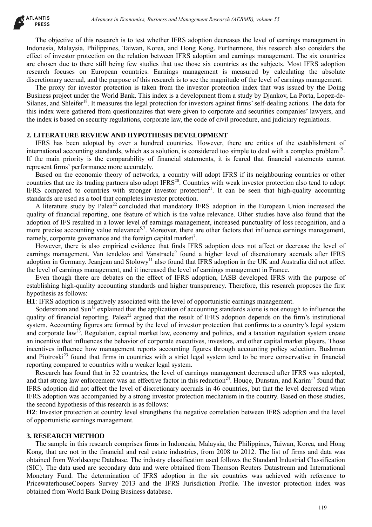The objective of this research is to test whether IFRS adoption decreases the level of earnings management in Indonesia, Malaysia, Philippines, Taiwan, Korea, and Hong Kong. Furthermore, this research also considers the effect of investor protection on the relation between IFRS adoption and earnings management. The six countries are chosen due to there still being few studies that use those six countries as the subjects. Most IFRS adoption research focuses on European countries. Earnings management is measured by calculating the absolute discretionary accrual, and the purpose of this research is to see the magnitude of the level of earnings management.

The proxy for investor protection is taken from the investor protection index that was issued by the Doing Business project under the World Bank. This index is a development from a study by Djankov, La Porta, Lopez-de-Silanes, and Shleifer<sup>18</sup>. It measures the legal protection for investors against firms' self-dealing actions. The data for this index were gathered from questionnaires that were given to corporate and securities companies' lawyers, and the index is based on security regulations, corporate law, the code of civil procedure, and judiciary regulations.

## **2. LITERATURE REVIEW AND HYPOTHESIS DEVELOPMENT**

IFRS has been adopted by over a hundred countries. However, there are critics of the establishment of international accounting standards, which as a solution, is considered too simple to deal with a complex problem19. If the main priority is the comparability of financial statements, it is feared that financial statements cannot represent firms' performance more accurately.

Based on the economic theory of networks, a country will adopt IFRS if its neighbouring countries or other countries that are its trading partners also adopt IFRS<sup>20</sup>. Countries with weak investor protection also tend to adopt IFRS compared to countries with stronger investor protection<sup>21</sup>. It can be seen that high-quality accounting standards are used as a tool that completes investor protection.

A literature study by Palea<sup>22</sup> concluded that mandatory IFRS adoption in the European Union increased the quality of financial reporting, one feature of which is the value relevance. Other studies have also found that the adoption of IFS resulted in a lower level of earnings management, increased punctuality of loss recognition, and a more precise accounting value relevance<sup>5,7</sup>. Moreover, there are other factors that influence earnings management, namely, corporate governance and the foreign capital market<sup>7</sup>.

However, there is also empirical evidence that finds IFRS adoption does not affect or decrease the level of earnings management. Van tendeloo and Vanstraele<sup>9</sup> found a higher level of discretionary accruals after IFRS adoption in Germany. Jeanjean and Stolowy<sup>11</sup> also found that IFRS adoption in the UK and Australia did not affect the level of earnings management, and it increased the level of earnings management in France.

Even though there are debates on the effect of IFRS adoption, IASB developed IFRS with the purpose of establishing high-quality accounting standards and higher transparency. Therefore, this research proposes the first hypothesis as follows:

**H1**: IFRS adoption is negatively associated with the level of opportunistic earnings management.

Soderstrom and  $Sun<sup>12</sup>$  explained that the application of accounting standards alone is not enough to influence the quality of financial reporting. Palea<sup>22</sup> argued that the result of IFRS adoption depends on the firm's institutional system. Accounting figures are formed by the level of investor protection that confirms to a country's legal system and corporate law<sup>23</sup>. Regulation, capital market law, economy and politics, and a taxation regulation system create an incentive that influences the behavior of corporate executives, investors, and other capital market players. Those incentives influence how management reports accounting figures through accounting policy selection. Bushman and Piotroski<sup>23</sup> found that firms in countries with a strict legal system tend to be more conservative in financial reporting compared to countries with a weaker legal system. debiases in Economics, Business and Management Research (AEBMR), volume 53<br>
Si research is to test whelhelt IFRS adoption decreases the level of earnings managements.<br>The signal and the claim whele IFRS adoption and cannag

Research has found that in 32 countries, the level of earnings management decreased after IFRS was adopted, and that strong law enforcement was an effective factor in this reduction<sup> $24$ </sup>. Houge, Dunstan, and Karim<sup>17</sup> found that IFRS adoption did not affect the level of discretionary accruals in 46 countries, but that the level decreased when IFRS adoption was accompanied by a strong investor protection mechanism in the country. Based on those studies, the second hypothesis of this research is as follows:

**H2**: Investor protection at country level strengthens the negative correlation between IFRS adoption and the level of opportunistic earnings management.

## **3. RESEARCH METHOD**

The sample in this research comprises firms in Indonesia, Malaysia, the Philippines, Taiwan, Korea, and Hong Kong, that are not in the financial and real estate industries, from 2008 to 2012. The list of firms and data was obtained from Worldscope Database. The industry classification used follows the Standard Industrial Classification (SIC). The data used are secondary data and were obtained from Thomson Reuters Datastream and International Monetary Fund. The determination of IFRS adoption in the six countries was achieved with reference to PricewaterhouseCoopers Survey 2013 and the IFRS Jurisdiction Profile. The investor protection index was obtained from World Bank Doing Business database.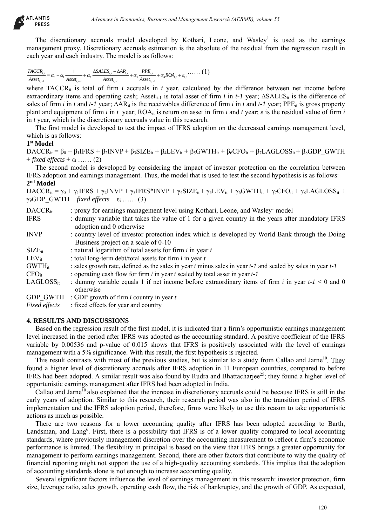$$
\frac{TACCR_{i,t}}{Asset_{i,t-1}} = \alpha_0 + \alpha_1 \frac{1}{Asset_{i,t-1}} + \alpha_2 \frac{\Delta SALES_{i,t} - \Delta AR_{i,t}}{Asset_{i,t-1}} + \alpha_3 \frac{PPE_{i,t}}{Asset_{i,t-1}} + \alpha_4 ROA_{i,t} + \varepsilon_{i,t} \cdots \cdots (1)
$$

# **1st Model**

| AILANIIS<br><b>PRESS</b>                | Advances in Economics, Business and Management Research (AEBMR), volume 55                                                                                                                                                                                                                                                                                                                                                                                                                                                                                                                                                                                                             |
|-----------------------------------------|----------------------------------------------------------------------------------------------------------------------------------------------------------------------------------------------------------------------------------------------------------------------------------------------------------------------------------------------------------------------------------------------------------------------------------------------------------------------------------------------------------------------------------------------------------------------------------------------------------------------------------------------------------------------------------------|
|                                         | The discretionary accruals model developed by Kothari, Leone, and Wasley <sup>1</sup> is used as the earnings<br>management proxy. Discretionary accruals estimation is the absolute of the residual from the regression result in<br>each year and each industry. The model is as follows:                                                                                                                                                                                                                                                                                                                                                                                            |
|                                         | $\frac{TACCR_{i,t}}{Asset_{i,t-1}} = \alpha_0 + \alpha_1 \frac{1}{Asset_{i,t-1}} + \alpha_2 \frac{\Delta SALES_{i,t} - \Delta AR_{i,t}}{Asset_{i,t-1}} + \alpha_3 \frac{PPE_{i,t}}{Asset_{i,t-1}} + \alpha_4 ROA_{i,t} + \varepsilon_{i,t} \cdots \cdots (1)$                                                                                                                                                                                                                                                                                                                                                                                                                          |
|                                         |                                                                                                                                                                                                                                                                                                                                                                                                                                                                                                                                                                                                                                                                                        |
|                                         | where TACCR <sub>it</sub> is total of firm <i>i</i> accruals in <i>t</i> year, calculated by the difference between net income before<br>extraordinary items and operating cash; Asset <sub>it-1</sub> is total asset of firm <i>i</i> in <i>t-1</i> year; $\triangle SALES_{it}$ is the difference of<br>sales of firm i in t and t-1 year; $\Delta AR_{it}$ is the receivables difference of firm i in t and t-1 year; PPE <sub>it</sub> is gross property<br>plant and equipment of firm i in t year; $ROA_{it}$ is return on asset in firm i and t year; $\varepsilon$ is the residual value of firm i<br>in $t$ year, which is the discretionary accruals value in this research. |
| which is as follows:                    | The first model is developed to test the impact of IFRS adoption on the decreased earnings management level,                                                                                                                                                                                                                                                                                                                                                                                                                                                                                                                                                                           |
| 1 <sup>st</sup> Model                   |                                                                                                                                                                                                                                                                                                                                                                                                                                                                                                                                                                                                                                                                                        |
| $+ fixed$ effects $+ \varepsilon_i$ (2) | $DACCR_{it} = \beta_0 + \beta_1IFRS + \beta_2INVP + \beta_3SIZE_{it} + \beta_4LEV_{it} + \beta_5GWTH_{it} + \beta_6CFO_{it} + \beta_7LAGLOSS_{it} + \beta_8 GDP GWTH_{it}$                                                                                                                                                                                                                                                                                                                                                                                                                                                                                                             |
| 2 <sup>nd</sup> Model                   | The second model is developed by considering the impact of investor protection on the correlation between<br>IFRS adoption and earnings management. Thus, the model that is used to test the second hypothesis is as follows:                                                                                                                                                                                                                                                                                                                                                                                                                                                          |
|                                         | $DACCR_{it} = \gamma_0 + \gamma_1IFRS + \gamma_2INVP + \gamma_3IFRS*INVP + \gamma_4SIZE_{it} + \gamma_5LEV_{it} + \gamma_6GWTH_{it} + \gamma_7CFO_{it} + \gamma_8LAGLOSS_{it} +$<br>$\gamma_9$ GDP GWTH + fixed effects + $\varepsilon_i$ (3)                                                                                                                                                                                                                                                                                                                                                                                                                                          |
| $DACCR_{it}$<br><b>IFRS</b>             | : proxy for earnings management level using Kothari, Leone, and Wasley <sup>1</sup> model<br>: dummy variable that takes the value of 1 for a given country in the years after mandatory IFRS<br>adoption and 0 otherwise                                                                                                                                                                                                                                                                                                                                                                                                                                                              |
| <b>INVP</b>                             | : country level of investor protection index which is developed by World Bank through the Doing<br>Business project on a scale of 0-10                                                                                                                                                                                                                                                                                                                                                                                                                                                                                                                                                 |
| $SIZE_{it}$                             | : natural logarithm of total assets for firm $i$ in year $t$                                                                                                                                                                                                                                                                                                                                                                                                                                                                                                                                                                                                                           |
| $LEV_{it}$                              | : total long-term debt/total assets for firm $i$ in year $t$                                                                                                                                                                                                                                                                                                                                                                                                                                                                                                                                                                                                                           |
| <b>GWTH</b> <sub>it</sub>               | : sales growth rate, defined as the sales in year $t$ minus sales in year $t-1$ and scaled by sales in year $t-1$                                                                                                                                                                                                                                                                                                                                                                                                                                                                                                                                                                      |
| $CFO_{it}$<br>$LAGLOSS_{it}$            | : operating cash flow for firm $i$ in year $t$ scaled by total asset in year $t$ - $l$<br>: dummy variable equals 1 if net income before extraordinary items of firm i in year $t-1 < 0$ and 0<br>otherwise                                                                                                                                                                                                                                                                                                                                                                                                                                                                            |
| <b>Fixed effects</b>                    | GDP GWTH : GDP growth of firm $i$ country in year $t$<br>: fixed effects for year and country                                                                                                                                                                                                                                                                                                                                                                                                                                                                                                                                                                                          |
| <b>4. RESULTS AND DISCUSSIONS</b>       |                                                                                                                                                                                                                                                                                                                                                                                                                                                                                                                                                                                                                                                                                        |
|                                         | Based on the regression result of the first model, it is indicated that a firm's opportunistic earnings management                                                                                                                                                                                                                                                                                                                                                                                                                                                                                                                                                                     |
|                                         | level increased in the period after IFRS was adopted as the accounting standard. A positive coefficient of the IFRS<br>variable by 0.00536 and p-value of 0.015 shows that IFRS is positively associated with the level of earnings                                                                                                                                                                                                                                                                                                                                                                                                                                                    |
|                                         | management with a 5% significance. With this result, the first hypothesis is rejected.                                                                                                                                                                                                                                                                                                                                                                                                                                                                                                                                                                                                 |
|                                         | This result contrasts with most of the previous studies, but is similar to a study from Callao and Jarne <sup>10</sup> . They<br>found a higher level of discretionary accruals after IFRS adoption in 11 European countries, compared to before<br>IFRS had been adopted. A similar result was also found by Rudra and Bhattacharjee <sup>25</sup> ; they found a higher level of                                                                                                                                                                                                                                                                                                     |
|                                         | opportunistic earnings management after IFRS had been adopted in India.<br>Callao and Jarne <sup>10</sup> also explained that the increase in discretionary accruals could be because IFRS is still in the                                                                                                                                                                                                                                                                                                                                                                                                                                                                             |
|                                         | early years of adoption. Similar to this research, their research period was also in the transition period of IFRS<br>implementation and the IFRS adoption period, therefore, firms were likely to use this reason to take opportunistic                                                                                                                                                                                                                                                                                                                                                                                                                                               |
| actions as much as possible.            | There are two reasons for a lower accounting quality after IFRS has been adopted according to Barth,                                                                                                                                                                                                                                                                                                                                                                                                                                                                                                                                                                                   |
|                                         | Landsman, and Lang <sup>6</sup> . First, there is a possibility that IFRS is of a lower quality compared to local accounting<br>standards, where previously management discretion over the accounting measurement to reflect a firm's economic<br>performance is limited. The flexibility in principal is based on the view that IFRS brings a greater opportunity for<br>management to perform earnings management. Second, there are other factors that contribute to why the quality of<br>financial reporting might not support the use of a high-quality accounting standards. This implies that the adoption                                                                     |
|                                         | of accounting standards alone is not enough to increase accounting quality.<br>Several significant factors influence the level of earnings management in this research: investor protection, firm<br>size, leverage ratio, sales growth, operating cash flow, the risk of bankruptcy, and the growth of GDP. As expected,                                                                                                                                                                                                                                                                                                                                                              |
|                                         | 120                                                                                                                                                                                                                                                                                                                                                                                                                                                                                                                                                                                                                                                                                    |

## **4. RESULTS AND DISCUSSIONS**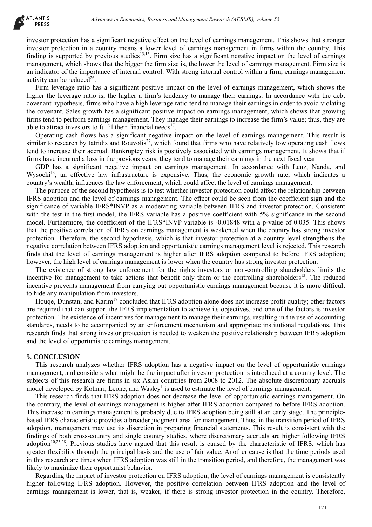investor protection has a significant negative effect on the level of earnings management. This shows that stronger investor protection in a country means a lower level of earnings management in firms within the country. This finding is supported by previous studies<sup>13,15</sup>. Firm size has a significant negative impact on the level of earnings management, which shows that the bigger the firm size is, the lower the level of earnings management. Firm size is an indicator of the importance of internal control. With strong internal control within a firm, earnings management activity can be reduced $^{26}$ .

Firm leverage ratio has a significant positive impact on the level of earnings management, which shows the higher the leverage ratio is, the higher a firm's tendency to manage their earnings. In accordance with the debt covenant hypothesis, firms who have a high leverage ratio tend to manage their earnings in order to avoid violating the covenant. Sales growth has a significant positive impact on earnings management, which shows that growing firms tend to perform earnings management. They manage their earnings to increase the firm's value; thus, they are able to attract investors to fulfil their financial needs<sup>17</sup>.

Operating cash flows has a significant negative impact on the level of earnings management. This result is similar to research by Iatridis and Rouvolis<sup>27</sup>, which found that firms who have relatively low operating cash flows tend to increase their accrual. Bankruptcy risk is positively associated with earnings management. It shows that if firms have incurred a loss in the previous years, they tend to manage their earnings in the next fiscal year.

GDP has a significant negative impact on earnings management. In accordance with Leuz, Nanda, and Wysocki<sup>13</sup>, an effective law infrastructure is expensive. Thus, the economic growth rate, which indicates a country's wealth, influences the law enforcement, which could affect the level of earnings management.

The purpose of the second hypothesis is to test whether investor protection could affect the relationship between IFRS adoption and the level of earnings management. The effect could be seen from the coefficient sign and the significance of variable IFRS\*INVP as a moderating variable between IFRS and investor protection. Consistent with the test in the first model, the IFRS variable has a positive coefficient with 5% significance in the second model. Furthermore, the coefficient of the IFRS\*INVP variable is -0.01848 with a p-value of 0.035. This shows that the positive correlation of IFRS on earnings management is weakened when the country has strong investor protection. Therefore, the second hypothesis, which is that investor protection at a country level strengthens the negative correlation between IFRS adoption and opportunistic earnings management level is rejected. This research finds that the level of earnings management is higher after IFRS adoption compared to before IFRS adoption; however, the high level of earnings management is lower when the country has strong investor protection. debiases in Economics, Busines and Management Research (AEBMR), volume 53<br>
as a significant megative offers to the level of econings management. This shows that a solution megative effect to the level of econings managemen

The existence of strong law enforcement for the rights investors or non-controlling shareholders limits the incentive for management to take actions that benefit only them or the controlling shareholders<sup>13</sup>. The reduced incentive prevents management from carrying out opportunistic earnings management because it is more difficult to hide any manipulation from investors.

Houqe, Dunstan, and Karim<sup>17</sup> concluded that IFRS adoption alone does not increase profit quality; other factors are required that can support the IFRS implementation to achieve its objectives, and one of the factors is investor protection. The existence of incentives for management to manage their earnings, resulting in the use of accounting standards, needs to be accompanied by an enforcement mechanism and appropriate institutional regulations. This research finds that strong investor protection is needed to weaken the positive relationship between IFRS adoption and the level of opportunistic earnings management.

### **5. CONCLUSION**

This research analyzes whether IFRS adoption has a negative impact on the level of opportunistic earnings management, and considers what might be the impact after investor protection is introduced at a country level. The subjects of this research are firms in six Asian countries from 2008 to 2012. The absolute discretionary accruals model developed by Kothari, Leone, and Wasley<sup>1</sup> is used to estimate the level of earnings management.

This research finds that IFRS adoption does not decrease the level of opportunistic earnings management. On the contrary, the level of earnings management is higher after IFRS adoption compared to before IFRS adoption. This increase in earnings management is probably due to IFRS adoption being still at an early stage. The principlebased IFRS characteristic provides a broader judgment area for management. Thus, in the transition period of IFRS adoption, management may use its discretion in preparing financial statements. This result is consistent with the findings of both cross-country and single country studies, where discretionary accruals are higher following IFRS adoption<sup>10,25,28</sup>. Previous studies have argued that this result is caused by the characteristic of IFRS, which has greater flexibility through the principal basis and the use of fair value. Another cause is that the time periods used in this research are times when IFRS adoption was still in the transition period, and therefore, the management was likely to maximize their opportunist behavior.

Regarding the impact of investor protection on IFRS adoption, the level of earnings management is consistently higher following IFRS adoption. However, the positive correlation between IFRS adoption and the level of earnings management is lower, that is, weaker, if there is strong investor protection in the country. Therefore,